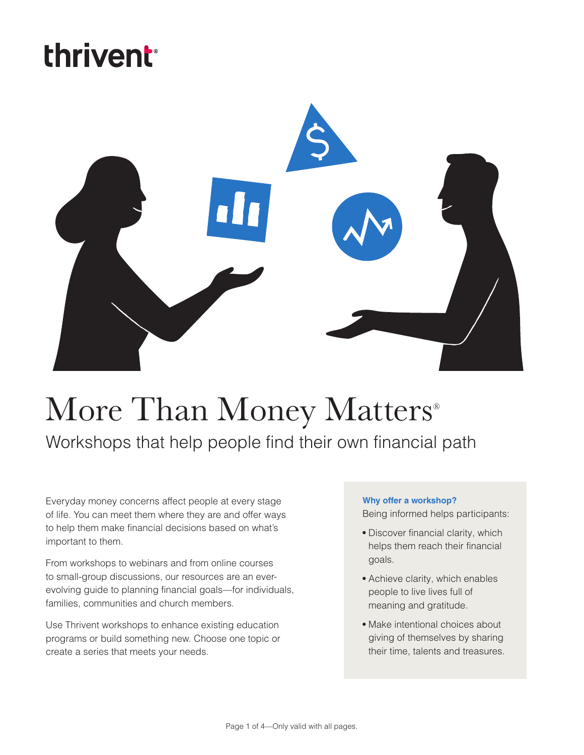# thrivent



# More Than Money Matters<sup>®</sup> Workshops that help people find their own financial path

Everyday money concerns affect people at every stage of life. You can meet them where they are and offer ways to help them make financial decisions based on what's important to them.

From workshops to webinars and from online courses to small-group discussions, our resources are an everevolving guide to planning financial goals—for individuals, families, communities and church members.

Use Thrivent workshops to enhance existing education programs or build something new. Choose one topic or create a series that meets your needs.

#### **Why offer a workshop?**

Being informed helps participants:

- **•** Discover financial clarity, which helps them reach their financial goals.
- **•** Achieve clarity, which enables people to live lives full of meaning and gratitude.
- **•** Make intentional choices about giving of themselves by sharing their time, talents and treasures.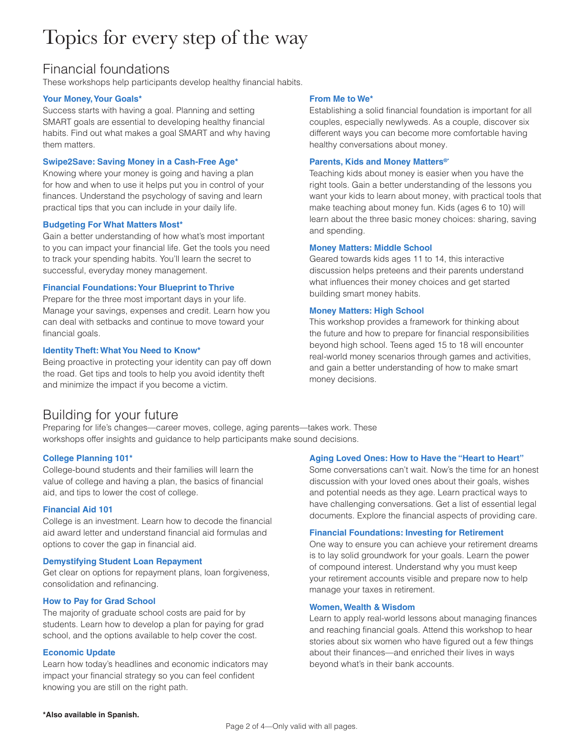# Topics for every step of the way

## Financial foundations

These workshops help participants develop healthy financial habits.

#### **Your Money, Your Goals\***

Success starts with having a goal. Planning and setting SMART goals are essential to developing healthy financial habits. Find out what makes a goal SMART and why having them matters.

#### **Swipe2Save: Saving Money in a Cash-Free Age\***

Knowing where your money is going and having a plan for how and when to use it helps put you in control of your finances. Understand the psychology of saving and learn practical tips that you can include in your daily life.

#### **Budgeting For What Matters Most\***

Gain a better understanding of how what's most important to you can impact your financial life. Get the tools you need to track your spending habits. You'll learn the secret to successful, everyday money management.

#### **Financial Foundations: Your Blueprint to Thrive**

Prepare for the three most important days in your life. Manage your savings, expenses and credit. Learn how you can deal with setbacks and continue to move toward your financial goals.

#### **Identity Theft: What You Need to Know\***

Being proactive in protecting your identity can pay off down the road. Get tips and tools to help you avoid identity theft and minimize the impact if you become a victim.

#### **From Me to We\***

Establishing a solid financial foundation is important for all couples, especially newlyweds. As a couple, discover six different ways you can become more comfortable having healthy conversations about money.

#### **Parents, Kids and Money Matters®\***

Teaching kids about money is easier when you have the right tools. Gain a better understanding of the lessons you want your kids to learn about money, with practical tools that make teaching about money fun. Kids (ages 6 to 10) will learn about the three basic money choices: sharing, saving and spending.

#### **Money Matters: Middle School**

Geared towards kids ages 11 to 14, this interactive discussion helps preteens and their parents understand what influences their money choices and get started building smart money habits.

#### **Money Matters: High School**

This workshop provides a framework for thinking about the future and how to prepare for financial responsibilities beyond high school. Teens aged 15 to 18 will encounter real-world money scenarios through games and activities, and gain a better understanding of how to make smart money decisions.

### Building for your future

Preparing for life's changes—career moves, college, aging parents—takes work. These workshops offer insights and guidance to help participants make sound decisions.

#### **College Planning 101\***

College-bound students and their families will learn the value of college and having a plan, the basics of financial aid, and tips to lower the cost of college.

#### **Financial Aid 101**

College is an investment. Learn how to decode the financial aid award letter and understand financial aid formulas and options to cover the gap in financial aid.

#### **Demystifying Student Loan Repayment**

Get clear on options for repayment plans, loan forgiveness, consolidation and refinancing.

#### **How to Pay for Grad School**

The majority of graduate school costs are paid for by students. Learn how to develop a plan for paying for grad school, and the options available to help cover the cost.

#### **Economic Update**

Learn how today's headlines and economic indicators may impact your financial strategy so you can feel confident knowing you are still on the right path.

#### **Aging Loved Ones: How to Have the "Heart to Heart"**

Some conversations can't wait. Now's the time for an honest discussion with your loved ones about their goals, wishes and potential needs as they age. Learn practical ways to have challenging conversations. Get a list of essential legal documents. Explore the financial aspects of providing care.

#### **Financial Foundations: Investing for Retirement**

One way to ensure you can achieve your retirement dreams is to lay solid groundwork for your goals. Learn the power of compound interest. Understand why you must keep your retirement accounts visible and prepare now to help manage your taxes in retirement.

#### **Women, Wealth & Wisdom**

Learn to apply real-world lessons about managing finances and reaching financial goals. Attend this workshop to hear stories about six women who have figured out a few things about their finances—and enriched their lives in ways beyond what's in their bank accounts.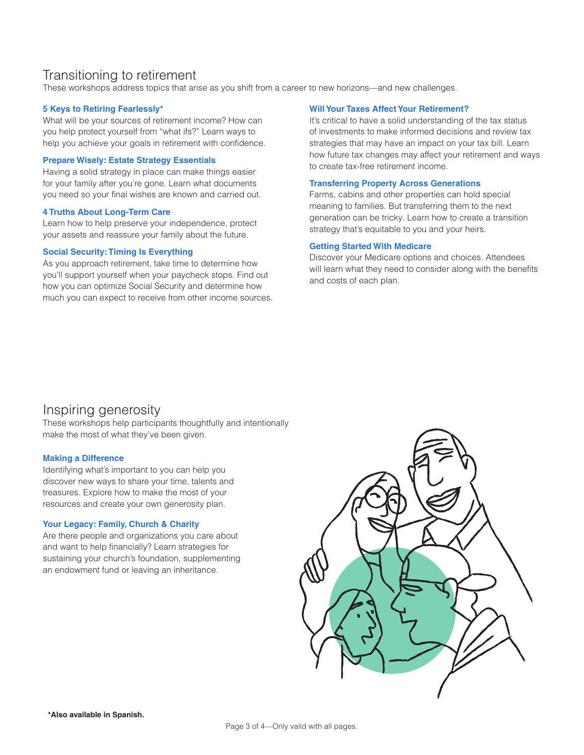## Transitioning to retirement

These workshops address topics that arise as you shift from a career to new horizons—and new challenges.

#### **5 Keys to Retiring Fearlessly\***

What will be your sources of retirement income? How can you help protect yourself from "what ifs?" Learn ways to help you achieve your goals in retirement with confidence.

#### **Prepare Wisely: Estate Strategy Essentials**

Having a solid strategy in place can make things easier for your family after you're gone. Learn what documents you need so your final wishes are known and carried out.

#### **4 Truths About Long-Term Care**

Learn how to help preserve your independence, protect your assets and reassure your family about the future.

#### **Social Security: Timing Is Everything**

As you approach retirement, take time to determine how you'll support yourself when your paycheck stops. Find out how you can optimize Social Security and determine how much you can expect to receive from other income sources.

#### **Will Your Taxes Affect Your Retirement?**

It's critical to have a solid understanding of the tax status of investments to make informed decisions and review tax strategies that may have an impact on your tax bill. Learn how future tax changes may affect your retirement and ways to create tax-free retirement income.

#### **Transferring Property Across Generations**

Farms, cabins and other properties can hold special meaning to families. But transferring them to the next generation can be tricky. Learn how to create a transition strategy that's equitable to you and your heirs.

#### **Getting Started With Medicare**

Discover your Medicare options and choices. Attendees will learn what they need to consider along with the benefits and costs of each plan.

### Inspiring generosity

These workshops help participants thoughtfully and intentionally make the most of what they've been given.

#### **Making a Difference**

Identifying what's important to you can help you discover new ways to share your time, talents and treasures. Explore how to make the most of your resources and create your own generosity plan.

#### **Your Legacy: Family, Church & Charity**

Are there people and organizations you care about and want to help financially? Learn strategies for sustaining your church's foundation, supplementing an endowment fund or leaving an inheritance.